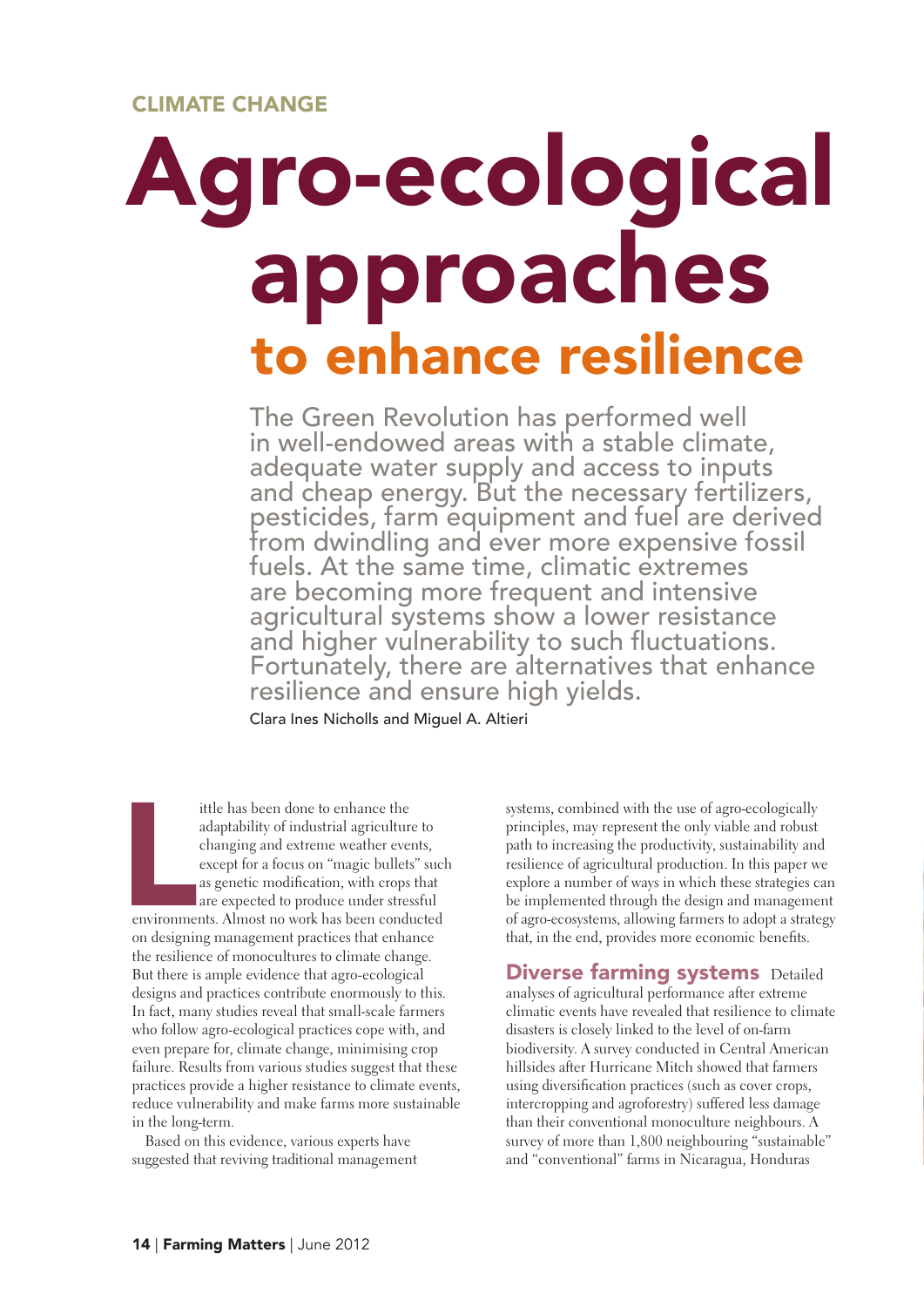#### cLiMATe cHAnge

# ro-ecological approaches to enhance resilience

The Green Revolution has performed well in well-endowed areas with a stable climate, adequate water supply and access to inputs and cheap energy. But the necessary fertilizers, pesticides, farm equipment and fuel are derived from dwindling and ever more expensive fossil fuels. At the same time, climatic extremes are becoming more frequent and intensive agricultural systems show a lower resistance and higher vulnerability to such fluctuations. Fortunately, there are alternatives that enhance resilience and ensure high yields.

Clara Ines Nicholls and Miguel A. Altieri

Experimental de la contradición de la contradición de la contradición de la contradición de la contradición de<br>La contradición de la contradición de la contradición de la contradición de la contradición de la contradición<br> ittle has been done to enhance the adaptability of industrial agriculture to changing and extreme weather events, except for a focus on "magic bullets" such as genetic modification, with crops that are expected to produce under stressful environments. Almost no work has been conducted on designing management practices that enhance the resilience of monocultures to climate change. But there is ample evidence that agro-ecological designs and practices contribute enormously to this. In fact, many studies reveal that small-scale farmers who follow agro-ecological practices cope with, and even prepare for, climate change, minimising crop failure. Results from various studies suggest that these practices provide a higher resistance to climate events, reduce vulnerability and make farms more sustainable in the long-term.

Based on this evidence, various experts have suggested that reviving traditional management systems, combined with the use of agro-ecologically principles, may represent the only viable and robust path to increasing the productivity, sustainability and resilience of agricultural production. In this paper we explore a number of ways in which these strategies can be implemented through the design and management of agro-ecosystems, allowing farmers to adopt a strategy that, in the end, provides more economic benefits.

**Diverse farming systems** Detailed analyses of agricultural performance after extreme climatic events have revealed that resilience to climate disasters is closely linked to the level of on-farm biodiversity. A survey conducted in Central American hillsides after Hurricane Mitch showed that farmers using diversification practices (such as cover crops, intercropping and agroforestry) suffered less damage than their conventional monoculture neighbours. A survey of more than 1,800 neighbouring "sustainable" and "conventional" farms in Nicaragua, Honduras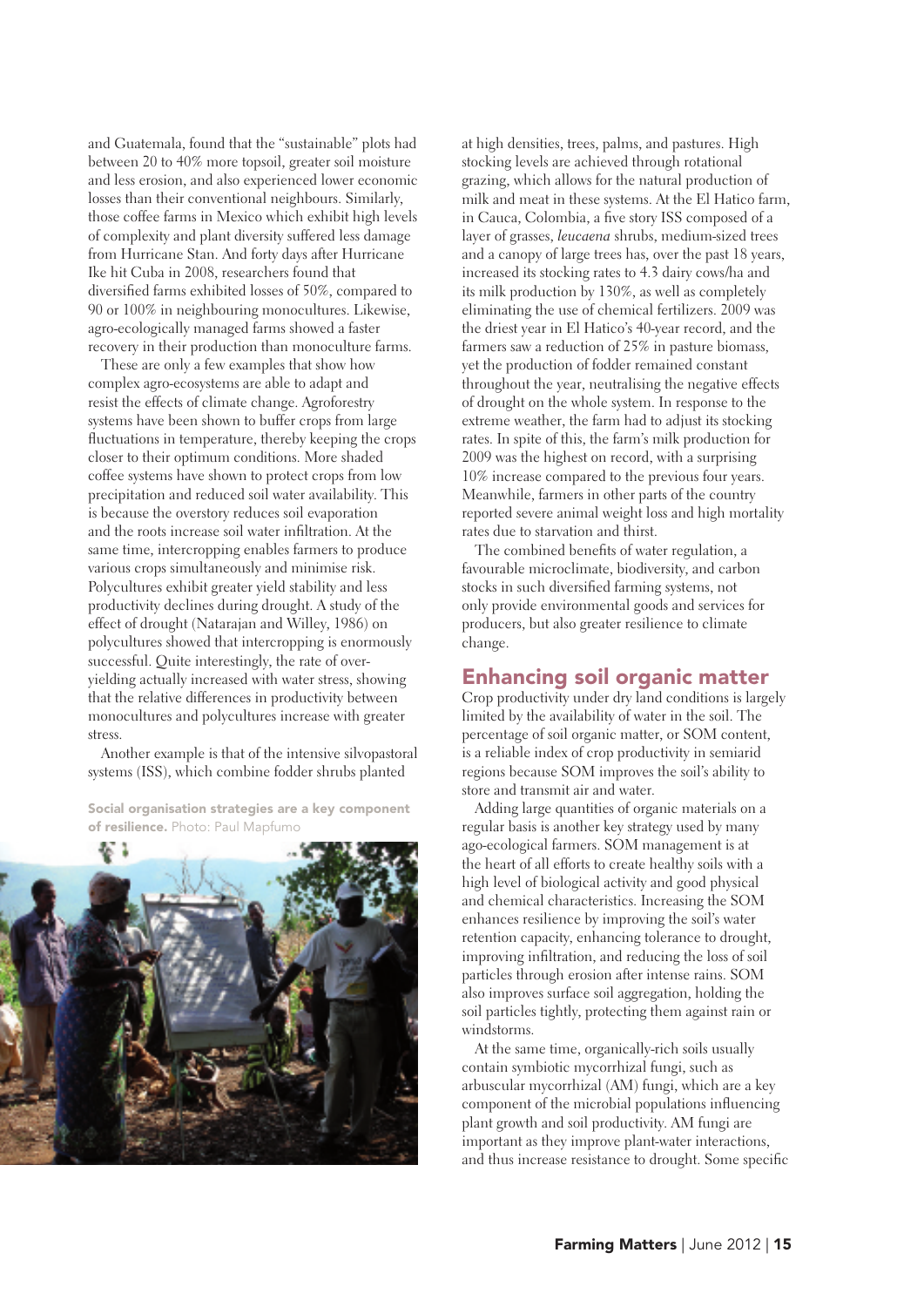and Guatemala, found that the "sustainable" plots had between 20 to 40% more topsoil, greater soil moisture and less erosion, and also experienced lower economic losses than their conventional neighbours. Similarly, those coffee farms in Mexico which exhibit high levels of complexity and plant diversity suffered less damage from Hurricane Stan. And forty days after Hurricane Ike hit Cuba in 2008, researchers found that diversified farms exhibited losses of 50%, compared to 90 or 100% in neighbouring monocultures. Likewise, agro-ecologically managed farms showed a faster recovery in their production than monoculture farms.

These are only a few examples that show how complex agro-ecosystems are able to adapt and resist the effects of climate change. Agroforestry systems have been shown to buffer crops from large fluctuations in temperature, thereby keeping the crops closer to their optimum conditions. More shaded coffee systems have shown to protect crops from low precipitation and reduced soil water availability. This is because the overstory reduces soil evaporation and the roots increase soil water infiltration. At the same time, intercropping enables farmers to produce various crops simultaneously and minimise risk. Polycultures exhibit greater yield stability and less productivity declines during drought. A study of the effect of drought (Natarajan and Willey, 1986) on polycultures showed that intercropping is enormously successful. Quite interestingly, the rate of overyielding actually increased with water stress, showing that the relative differences in productivity between monocultures and polycultures increase with greater stress.

Another example is that of the intensive silvopastoral systems (ISS), which combine fodder shrubs planted

social organisation strategies are a key component of resilience. Photo: Paul Mapfumo



at high densities, trees, palms, and pastures. High stocking levels are achieved through rotational grazing, which allows for the natural production of milk and meat in these systems. At the El Hatico farm, in Cauca, Colombia, a five story ISS composed of a layer of grasses, *leucaena* shrubs, medium-sized trees and a canopy of large trees has, over the past 18 years, increased its stocking rates to 4.3 dairy cows/ha and its milk production by 130%, as well as completely eliminating the use of chemical fertilizers. 2009 was the driest year in El Hatico's 40-year record, and the farmers saw a reduction of 25% in pasture biomass, yet the production of fodder remained constant throughout the year, neutralising the negative effects of drought on the whole system. In response to the extreme weather, the farm had to adjust its stocking rates. In spite of this, the farm's milk production for 2009 was the highest on record, with a surprising 10% increase compared to the previous four years. Meanwhile, farmers in other parts of the country reported severe animal weight loss and high mortality rates due to starvation and thirst.

The combined benefits of water regulation, a favourable microclimate, biodiversity, and carbon stocks in such diversified farming systems, not only provide environmental goods and services for producers, but also greater resilience to climate change.

#### **Enhancing soil organic matter**

Crop productivity under dry land conditions is largely limited by the availability of water in the soil. The percentage of soil organic matter, or SOM content, is a reliable index of crop productivity in semiarid regions because SOM improves the soil's ability to store and transmit air and water.

Adding large quantities of organic materials on a regular basis is another key strategy used by many ago-ecological farmers. SOM management is at the heart of all efforts to create healthy soils with a high level of biological activity and good physical and chemical characteristics. Increasing the SOM enhances resilience by improving the soil's water retention capacity, enhancing tolerance to drought, improving infiltration, and reducing the loss of soil particles through erosion after intense rains. SOM also improves surface soil aggregation, holding the soil particles tightly, protecting them against rain or windstorms.

At the same time, organically-rich soils usually contain symbiotic mycorrhizal fungi, such as arbuscular mycorrhizal (AM) fungi, which are a key component of the microbial populations influencing plant growth and soil productivity. AM fungi are important as they improve plant-water interactions, and thus increase resistance to drought. Some specific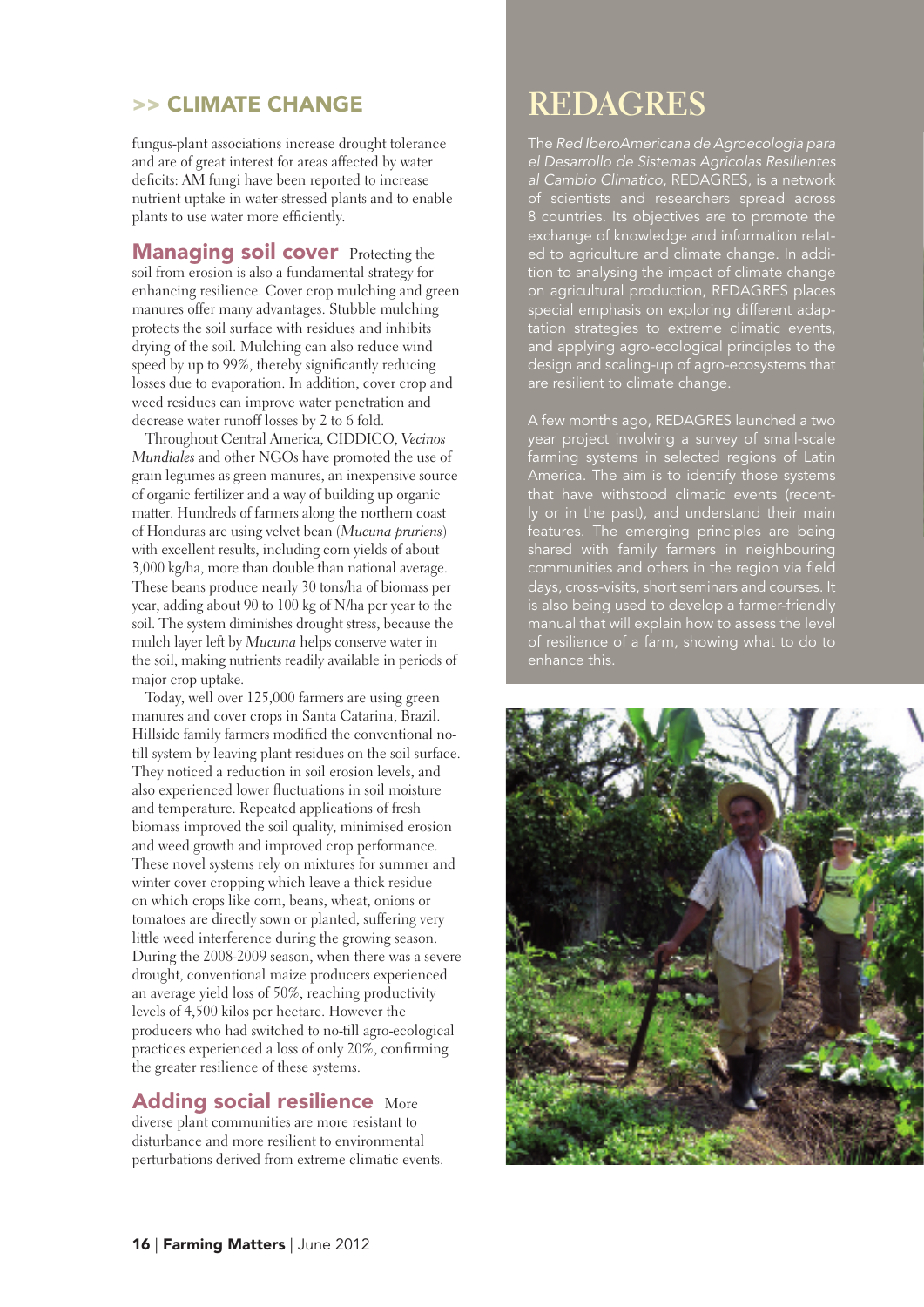#### >> cLiMATe cHAnge

fungus-plant associations increase drought tolerance and are of great interest for areas affected by water deficits: AM fungi have been reported to increase nutrient uptake in water-stressed plants and to enable plants to use water more efficiently.

**Managing soil cover** Protecting the soil from erosion is also a fundamental strategy for enhancing resilience. Cover crop mulching and green manures offer many advantages. Stubble mulching protects the soil surface with residues and inhibits drying of the soil. Mulching can also reduce wind speed by up to 99%, thereby significantly reducing losses due to evaporation. In addition, cover crop and weed residues can improve water penetration and decrease water runoff losses by 2 to 6 fold.

Throughout Central America, CIDDICO, *Vecinos Mundiales* and other NGOs have promoted the use of grain legumes as green manures, an inexpensive source of organic fertilizer and a way of building up organic matter. Hundreds of farmers along the northern coast of Honduras are using velvet bean (*Mucuna pruriens*) with excellent results, including corn yields of about 3,000 kg/ha, more than double than national average. These beans produce nearly 30 tons/ha of biomass per year, adding about 90 to 100 kg of N/ha per year to the soil. The system diminishes drought stress, because the mulch layer left by *Mucuna* helps conserve water in the soil, making nutrients readily available in periods of major crop uptake.

Today, well over 125,000 farmers are using green manures and cover crops in Santa Catarina, Brazil. Hillside family farmers modified the conventional notill system by leaving plant residues on the soil surface. They noticed a reduction in soil erosion levels, and also experienced lower fluctuations in soil moisture and temperature. Repeated applications of fresh biomass improved the soil quality, minimised erosion and weed growth and improved crop performance. These novel systems rely on mixtures for summer and winter cover cropping which leave a thick residue on which crops like corn, beans, wheat, onions or tomatoes are directly sown or planted, suffering very little weed interference during the growing season. During the 2008-2009 season, when there was a severe drought, conventional maize producers experienced an average yield loss of 50%, reaching productivity levels of 4,500 kilos per hectare. However the producers who had switched to no-till agro-ecological practices experienced a loss of only 20%, confirming the greater resilience of these systems.

### Adding social resilience More

diverse plant communities are more resistant to disturbance and more resilient to environmental perturbations derived from extreme climatic events.

## **REDAGRES**

The *Red IberoAmericana de Agroecologia para el Desarrollo de Sistemas Agricolas Resilientes al Cambio Climatico*, REDAGRES, is a network of scientists and researchers spread across 8 countries. Its objectives are to promote the exchange of knowledge and information related to agriculture and climate change. In addition to analysing the impact of climate change on agricultural production, REDAGRES places special emphasis on exploring different adaptation strategies to extreme climatic events, and applying agro-ecological principles to the design and scaling-up of agro-ecosystems that are resilient to climate change.

A few months ago, REDAGRES launched a two year project involving a survey of small-scale farming systems in selected regions of Latin America. The aim is to identify those systems ly or in the past), and understand their main features. The emerging principles are being shared with family farmers in neighbouring communities and others in the region via field days, cross-visits, short seminars and courses. It is also being used to develop a farmer-friendly manual that will explain how to assess the level